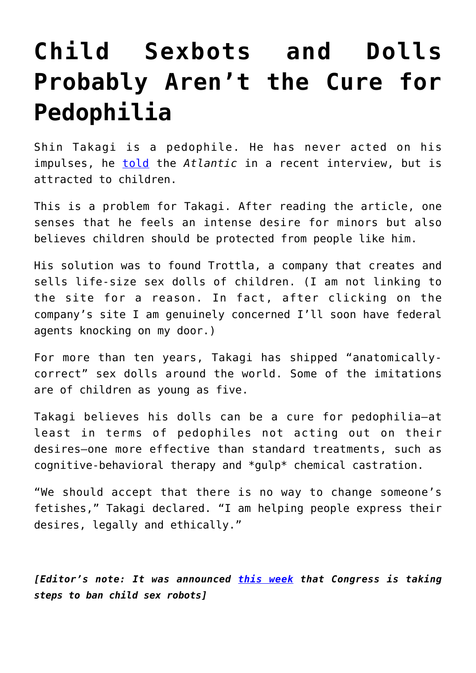## **[Child Sexbots and Dolls](https://intellectualtakeout.org/2018/01/child-sexbots-and-dolls-probably-arent-the-cure-for-pedophilia/) [Probably Aren't the Cure for](https://intellectualtakeout.org/2018/01/child-sexbots-and-dolls-probably-arent-the-cure-for-pedophilia/) [Pedophilia](https://intellectualtakeout.org/2018/01/child-sexbots-and-dolls-probably-arent-the-cure-for-pedophilia/)**

Shin Takagi is a pedophile. He has never acted on his impulses, he **[told](https://www.theatlantic.com/health/archive/2016/01/can-child-dolls-keep-pedophiles-from-offending/423324/)** the *Atlantic* in a recent interview, but is attracted to children.

This is a problem for Takagi. After reading the article, one senses that he feels an intense desire for minors but also believes children should be protected from people like him.

His solution was to found Trottla, a company that creates and sells life-size sex dolls of children. (I am not linking to the site for a reason. In fact, after clicking on the company's site I am genuinely concerned I'll soon have federal agents knocking on my door.)

For more than ten years, Takagi has shipped "anatomicallycorrect" sex dolls around the world. Some of the imitations are of children as young as five.

Takagi believes his dolls can be a cure for pedophilia—at least in terms of pedophiles not acting out on their desires—one more effective than standard treatments, such as cognitive-behavioral therapy and \*gulp\* chemical castration.

"We should accept that there is no way to change someone's fetishes," Takagi declared. "I am helping people express their desires, legally and ethically."

*[Editor's note: It was announced [this week](http://www.fresnobee.com/news/politics-government/article213126084.html) that Congress is taking steps to ban child sex robots]*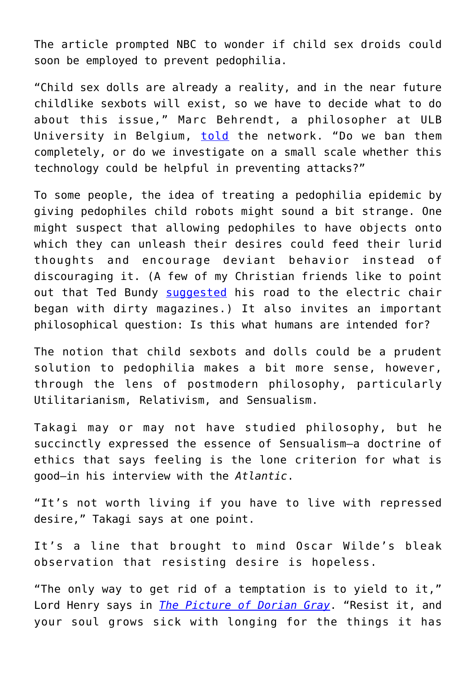The article prompted NBC to wonder if child sex droids could soon be employed to prevent pedophilia.

"Child sex dolls are already a reality, and in the near future childlike sexbots will exist, so we have to decide what to do about this issue," Marc Behrendt, a philosopher at ULB University in Belgium, [told](https://www.nbcnews.com/mach/science/would-child-sex-robots-stop-pedophilia-or-promote-it-ncna834576?cid=sm_npd_nn_fb_ma) the network. "Do we ban them completely, or do we investigate on a small scale whether this technology could be helpful in preventing attacks?"

To some people, the idea of treating a pedophilia epidemic by giving pedophiles child robots might sound a bit strange. One might suspect that allowing pedophiles to have objects onto which they can unleash their desires could feed their lurid thoughts and encourage deviant behavior instead of discouraging it. (A few of my Christian friends like to point out that Ted Bundy [suggested](https://themonstersamongus.com/ted-bundy-tells-how-pornography-is-what-led-to-him-becoming-a-serial-killer/) his road to the electric chair began with dirty magazines.) It also invites an important philosophical question: Is this what humans are intended for?

The notion that child sexbots and dolls could be a prudent solution to pedophilia makes a bit more sense, however, through the lens of postmodern philosophy, particularly Utilitarianism, Relativism, and Sensualism.

Takagi may or may not have studied philosophy, but he succinctly expressed the essence of Sensualism—a doctrine of ethics that says feeling is the lone criterion for what is good—in his interview with the *Atlantic*.

"It's not worth living if you have to live with repressed desire," Takagi says at one point.

It's a line that brought to mind Oscar Wilde's bleak observation that resisting desire is hopeless.

"The only way to get rid of a temptation is to yield to it," Lord Henry says in *[The Picture of Dorian Gray](http://amzn.to/2EqqbZq)*. "Resist it, and your soul grows sick with longing for the things it has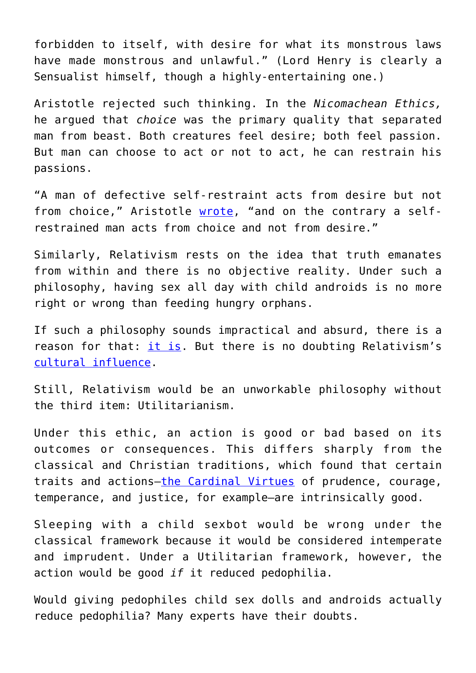forbidden to itself, with desire for what its monstrous laws have made monstrous and unlawful." (Lord Henry is clearly a Sensualist himself, though a highly-entertaining one.)

Aristotle rejected such thinking. In the *Nicomachean Ethics,* he argued that *choice* was the primary quality that separated man from beast. Both creatures feel desire; both feel passion. But man can choose to act or not to act, he can restrain his passions.

"A man of defective self-restraint acts from desire but not from choice," Aristotle [wrote](http://www.perseus.tufts.edu/hopper/text?doc=Perseus%3Atext%3A1999.01.0054%3Abook%3D3), "and on the contrary a selfrestrained man acts from choice and not from desire."

Similarly, Relativism rests on the idea that truth emanates from within and there is no objective reality. Under such a philosophy, having sex all day with child androids is no more right or wrong than feeding hungry orphans.

If such a philosophy sounds impractical and absurd, there is a reason for that: [it is.](https://www.intellectualtakeout.org/blog/how-relativism-contradicts-itself) But there is no doubting Relativism's [cultural influence.](https://www.intellectualtakeout.org/article/i-love-you-daddy-triumph-relativism)

Still, Relativism would be an unworkable philosophy without the third item: Utilitarianism.

Under this ethic, an action is good or bad based on its outcomes or consequences. This differs sharply from the classical and Christian traditions, which found that certain traits and actions[—the Cardinal Virtues](https://en.wikipedia.org/wiki/Cardinal_virtues) of prudence, courage, temperance, and justice, for example—are intrinsically good.

Sleeping with a child sexbot would be wrong under the classical framework because it would be considered intemperate and imprudent. Under a Utilitarian framework, however, the action would be good *if* it reduced pedophilia.

Would giving pedophiles child sex dolls and androids actually reduce pedophilia? Many experts have their doubts.